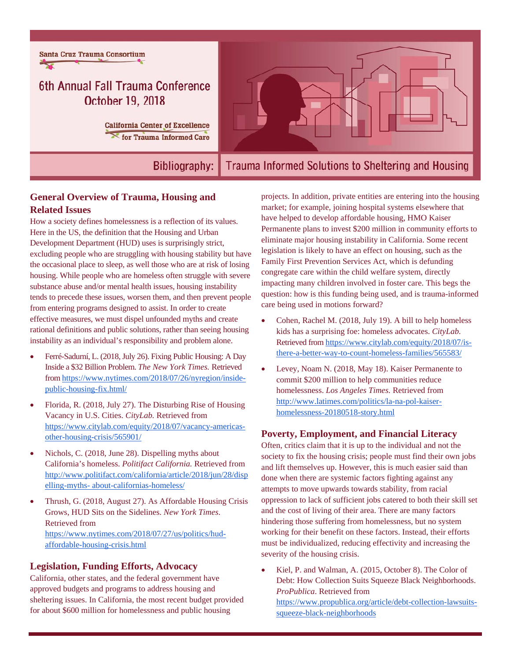

**Bibliography:** 

# Trauma Informed Solutions to Sheltering and Housing

## **General Overview of Trauma, Housing and Related Issues**

How a society defines homelessness is a reflection of its values. Here in the US, the definition that the Housing and Urban Development Department (HUD) uses is surprisingly strict, excluding people who are struggling with housing stability but have the occasional place to sleep, as well those who are at risk of losing housing. While people who are homeless often struggle with severe substance abuse and/or mental health issues, housing instability tends to precede these issues, worsen them, and then prevent people from entering programs designed to assist. In order to create effective measures, we must dispel unfounded myths and create rational definitions and public solutions, rather than seeing housing instability as an individual's responsibility and problem alone.

- Ferré-Sadurní, L. (2018, July 26). Fixing Public Housing: A Day Inside a \$32 Billion Problem. *The New York Times.* Retrieved from https://www.nytimes.com/2018/07/26/nyregion/insidepublic-housing-fix.html/
- Florida, R. (2018, July 27). The Disturbing Rise of Housing Vacancy in U.S. Cities. *CityLab.* Retrieved from https://www.citylab.com/equity/2018/07/vacancy-americasother-housing-crisis/565901/
- Nichols, C. (2018, June 28). Dispelling myths about California's homeless. *Politifact California.* Retrieved from http://www.politifact.com/california/article/2018/jun/28/disp elling-myths- about-californias-homeless/
- Thrush, G. (2018, August 27). As Affordable Housing Crisis Grows, HUD Sits on the Sidelines. *New York Times*. Retrieved from https://www.nytimes.com/2018/07/27/us/politics/hudaffordable-housing-crisis.html

## **Legislation, Funding Efforts, Advocacy**

California, other states, and the federal government have approved budgets and programs to address housing and sheltering issues. In California, the most recent budget provided for about \$600 million for homelessness and public housing

projects. In addition, private entities are entering into the housing market; for example, joining hospital systems elsewhere that have helped to develop affordable housing, HMO Kaiser Permanente plans to invest \$200 million in community efforts to eliminate major housing instability in California. Some recent legislation is likely to have an effect on housing, such as the Family First Prevention Services Act, which is defunding congregate care within the child welfare system, directly impacting many children involved in foster care. This begs the question: how is this funding being used, and is trauma-informed care being used in motions forward?

- Cohen, Rachel M. (2018, July 19). A bill to help homeless kids has a surprising foe: homeless advocates. *CityLab.* Retrieved from https://www.citylab.com/equity/2018/07/isthere-a-better-way-to-count-homeless-families/565583/
- Levey, Noam N. (2018, May 18). Kaiser Permanente to commit \$200 million to help communities reduce homelessness. *Los Angeles Times.* Retrieved from http://www.latimes.com/politics/la-na-pol-kaiserhomelessness-20180518-story.html

#### **Poverty, Employment, and Financial Literacy**

Often, critics claim that it is up to the individual and not the society to fix the housing crisis; people must find their own jobs and lift themselves up. However, this is much easier said than done when there are systemic factors fighting against any attempts to move upwards towards stability, from racial oppression to lack of sufficient jobs catered to both their skill set and the cost of living of their area. There are many factors hindering those suffering from homelessness, but no system working for their benefit on these factors. Instead, their efforts must be individualized, reducing effectivity and increasing the severity of the housing crisis.

 Kiel, P. and Walman, A. (2015, October 8). The Color of Debt: How Collection Suits Squeeze Black Neighborhoods. *ProPublica*. Retrieved from https://www.propublica.org/article/debt-collection-lawsuitssqueeze-black-neighborhoods